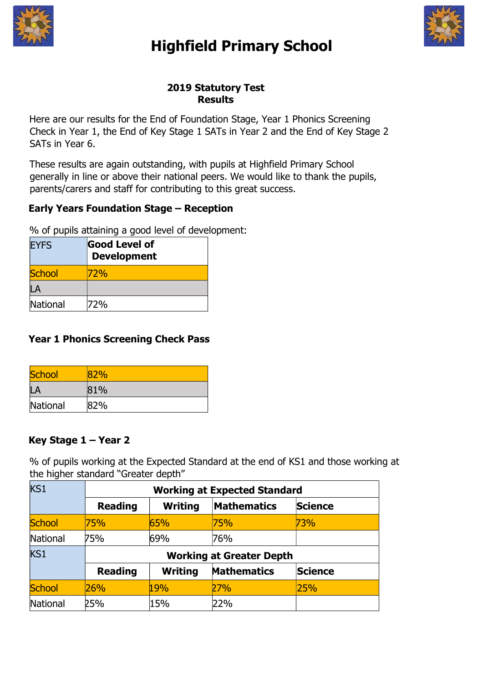

# Highfield Primary School



## 2019 Statutory Test Results

Here are our results for the End of Foundation Stage, Year 1 Phonics Screening Check in Year 1, the End of Key Stage 1 SATs in Year 2 and the End of Key Stage 2 SATs in Year 6.

These results are again outstanding, with pupils at Highfield Primary School generally in line or above their national peers. We would like to thank the pupils, parents/carers and staff for contributing to this great success.

# Early Years Foundation Stage – Reception

% of pupils attaining a good level of development:

| <b>EYFS</b>   | Good Level of<br><b>Development</b> |  |
|---------------|-------------------------------------|--|
| <b>School</b> | 72%                                 |  |
|               |                                     |  |
| National      | 72%                                 |  |

## Year 1 Phonics Screening Check Pass

| School   | 82% |
|----------|-----|
| Ι        | 81% |
| National | 82% |

# Key Stage 1 – Year 2

% of pupils working at the Expected Standard at the end of KS1 and those working at the higher standard "Greater depth"

| KS1           | <b>Working at Expected Standard</b> |                |                    |                |
|---------------|-------------------------------------|----------------|--------------------|----------------|
|               | <b>Reading</b>                      | <b>Writing</b> | <b>Mathematics</b> | <b>Science</b> |
| <b>School</b> | 75%                                 | 65%            | 75%                | 73%            |
| National      | 75%                                 | 69%            | 76%                |                |
| KS1           | <b>Working at Greater Depth</b>     |                |                    |                |
|               | <b>Reading</b>                      | <b>Writing</b> | <b>Mathematics</b> | <b>Science</b> |
| School        | 26%                                 | 19%            | 27%                | 25%            |
| National      | 25%                                 | 15%            | 22%                |                |